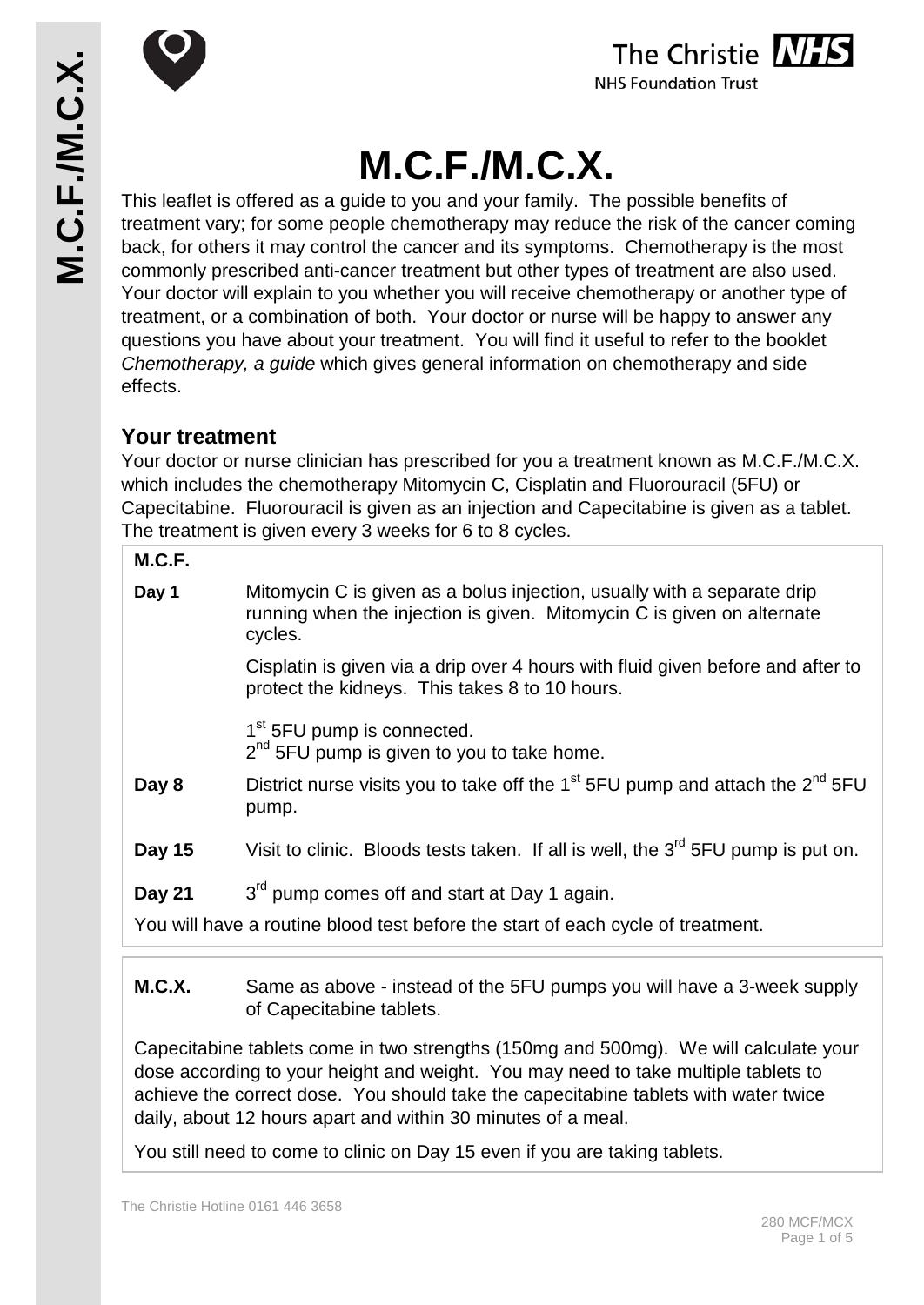





# **M.C.F./M.C.X.**

This leaflet is offered as a guide to you and your family. The possible benefits of treatment vary; for some people chemotherapy may reduce the risk of the cancer coming back, for others it may control the cancer and its symptoms. Chemotherapy is the most commonly prescribed anti-cancer treatment but other types of treatment are also used. Your doctor will explain to you whether you will receive chemotherapy or another type of treatment, or a combination of both. Your doctor or nurse will be happy to answer any questions you have about your treatment. You will find it useful to refer to the booklet *Chemotherapy, a guide* which gives general information on chemotherapy and side effects.

## **Your treatment**

Your doctor or nurse clinician has prescribed for you a treatment known as M.C.F./M.C.X. which includes the chemotherapy Mitomycin C, Cisplatin and Fluorouracil (5FU) or Capecitabine. Fluorouracil is given as an injection and Capecitabine is given as a tablet. The treatment is given every 3 weeks for 6 to 8 cycles.

#### **M.C.F.**

| Day 1                                                                           | Mitomycin C is given as a bolus injection, usually with a separate drip<br>running when the injection is given. Mitomycin C is given on alternate<br>cycles. |
|---------------------------------------------------------------------------------|--------------------------------------------------------------------------------------------------------------------------------------------------------------|
|                                                                                 | Cisplatin is given via a drip over 4 hours with fluid given before and after to<br>protect the kidneys. This takes 8 to 10 hours.                            |
|                                                                                 | $1st$ 5FU pump is connected.<br>$2nd$ 5FU pump is given to you to take home.                                                                                 |
| Day 8                                                                           | District nurse visits you to take off the 1 <sup>st</sup> 5FU pump and attach the $2^{nd}$ 5FU<br>pump.                                                      |
| Day 15                                                                          | Visit to clinic. Bloods tests taken. If all is well, the 3 <sup>rd</sup> 5FU pump is put on.                                                                 |
| Day 21                                                                          | 3 <sup>rd</sup> pump comes off and start at Day 1 again.                                                                                                     |
| You will have a routine blood test before the start of each cycle of treatment. |                                                                                                                                                              |

#### **M.C.X.** Same as above - instead of the 5FU pumps you will have a 3-week supply of Capecitabine tablets.

Capecitabine tablets come in two strengths (150mg and 500mg). We will calculate your dose according to your height and weight. You may need to take multiple tablets to achieve the correct dose. You should take the capecitabine tablets with water twice daily, about 12 hours apart and within 30 minutes of a meal.

You still need to come to clinic on Day 15 even if you are taking tablets.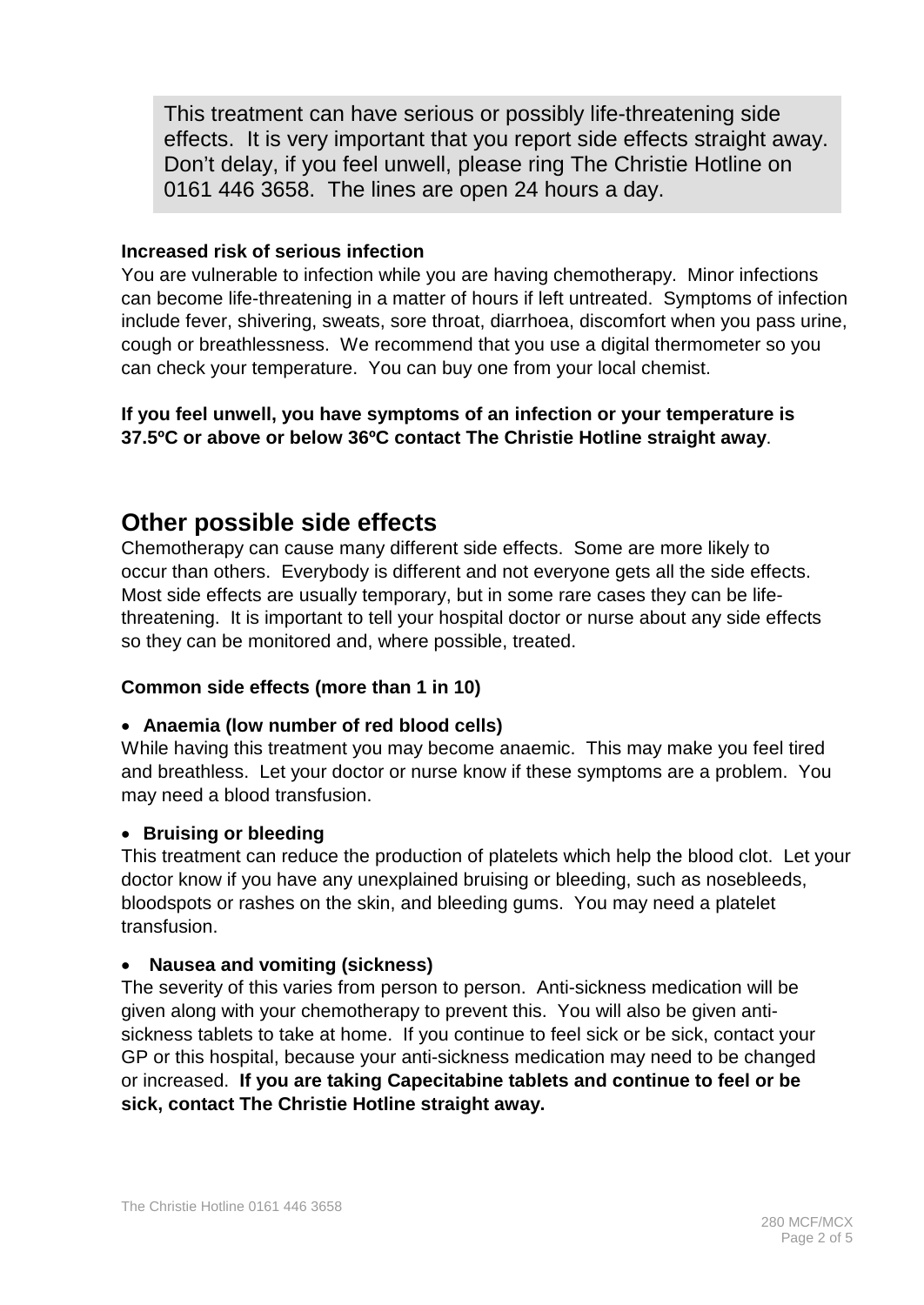This treatment can have serious or possibly life-threatening side effects. It is very important that you report side effects straight away. Don't delay, if you feel unwell, please ring The Christie Hotline on 0161 446 3658. The lines are open 24 hours a day.

#### **Increased risk of serious infection**

You are vulnerable to infection while you are having chemotherapy. Minor infections can become life-threatening in a matter of hours if left untreated. Symptoms of infection include fever, shivering, sweats, sore throat, diarrhoea, discomfort when you pass urine, cough or breathlessness. We recommend that you use a digital thermometer so you can check your temperature. You can buy one from your local chemist.

#### **If you feel unwell, you have symptoms of an infection or your temperature is 37.5ºC or above or below 36ºC contact The Christie Hotline straight away**.

## **Other possible side effects**

Chemotherapy can cause many different side effects. Some are more likely to occur than others. Everybody is different and not everyone gets all the side effects. Most side effects are usually temporary, but in some rare cases they can be lifethreatening. It is important to tell your hospital doctor or nurse about any side effects so they can be monitored and, where possible, treated.

#### **Common side effects (more than 1 in 10)**

#### • **Anaemia (low number of red blood cells)**

While having this treatment you may become anaemic. This may make you feel tired and breathless. Let your doctor or nurse know if these symptoms are a problem. You may need a blood transfusion.

#### • **Bruising or bleeding**

This treatment can reduce the production of platelets which help the blood clot. Let your doctor know if you have any unexplained bruising or bleeding, such as nosebleeds, bloodspots or rashes on the skin, and bleeding gums. You may need a platelet transfusion.

#### • **Nausea and vomiting (sickness)**

The severity of this varies from person to person. Anti-sickness medication will be given along with your chemotherapy to prevent this. You will also be given antisickness tablets to take at home. If you continue to feel sick or be sick, contact your GP or this hospital, because your anti-sickness medication may need to be changed or increased. **If you are taking Capecitabine tablets and continue to feel or be sick, contact The Christie Hotline straight away.**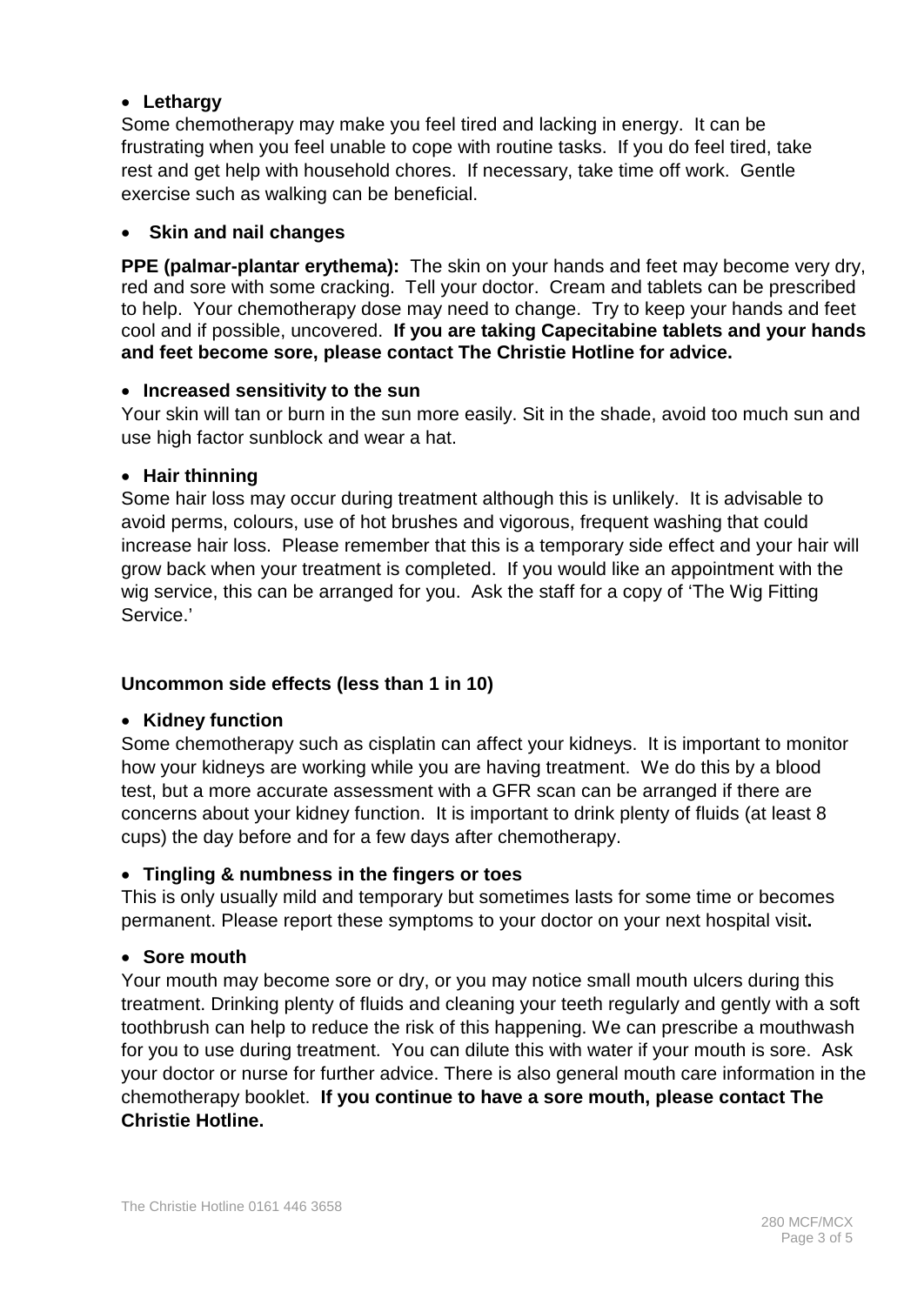#### • **Lethargy**

Some chemotherapy may make you feel tired and lacking in energy. It can be frustrating when you feel unable to cope with routine tasks. If you do feel tired, take rest and get help with household chores. If necessary, take time off work. Gentle exercise such as walking can be beneficial.

#### • **Skin and nail changes**

**PPE (palmar-plantar erythema):** The skin on your hands and feet may become very dry, red and sore with some cracking. Tell your doctor. Cream and tablets can be prescribed to help. Your chemotherapy dose may need to change. Try to keep your hands and feet cool and if possible, uncovered. **If you are taking Capecitabine tablets and your hands and feet become sore, please contact The Christie Hotline for advice.**

#### • **Increased sensitivity to the sun**

Your skin will tan or burn in the sun more easily. Sit in the shade, avoid too much sun and use high factor sunblock and wear a hat.

#### • **Hair thinning**

Some hair loss may occur during treatment although this is unlikely. It is advisable to avoid perms, colours, use of hot brushes and vigorous, frequent washing that could increase hair loss. Please remember that this is a temporary side effect and your hair will grow back when your treatment is completed. If you would like an appointment with the wig service, this can be arranged for you. Ask the staff for a copy of 'The Wig Fitting Service.'

#### **Uncommon side effects (less than 1 in 10)**

#### • **Kidney function**

Some chemotherapy such as cisplatin can affect your kidneys. It is important to monitor how your kidneys are working while you are having treatment. We do this by a blood test, but a more accurate assessment with a GFR scan can be arranged if there are concerns about your kidney function. It is important to drink plenty of fluids (at least 8 cups) the day before and for a few days after chemotherapy.

#### • **Tingling & numbness in the fingers or toes**

This is only usually mild and temporary but sometimes lasts for some time or becomes permanent. Please report these symptoms to your doctor on your next hospital visit**.**

#### • **Sore mouth**

Your mouth may become sore or dry, or you may notice small mouth ulcers during this treatment. Drinking plenty of fluids and cleaning your teeth regularly and gently with a soft toothbrush can help to reduce the risk of this happening. We can prescribe a mouthwash for you to use during treatment. You can dilute this with water if your mouth is sore. Ask your doctor or nurse for further advice. There is also general mouth care information in the chemotherapy booklet. **If you continue to have a sore mouth, please contact The Christie Hotline.**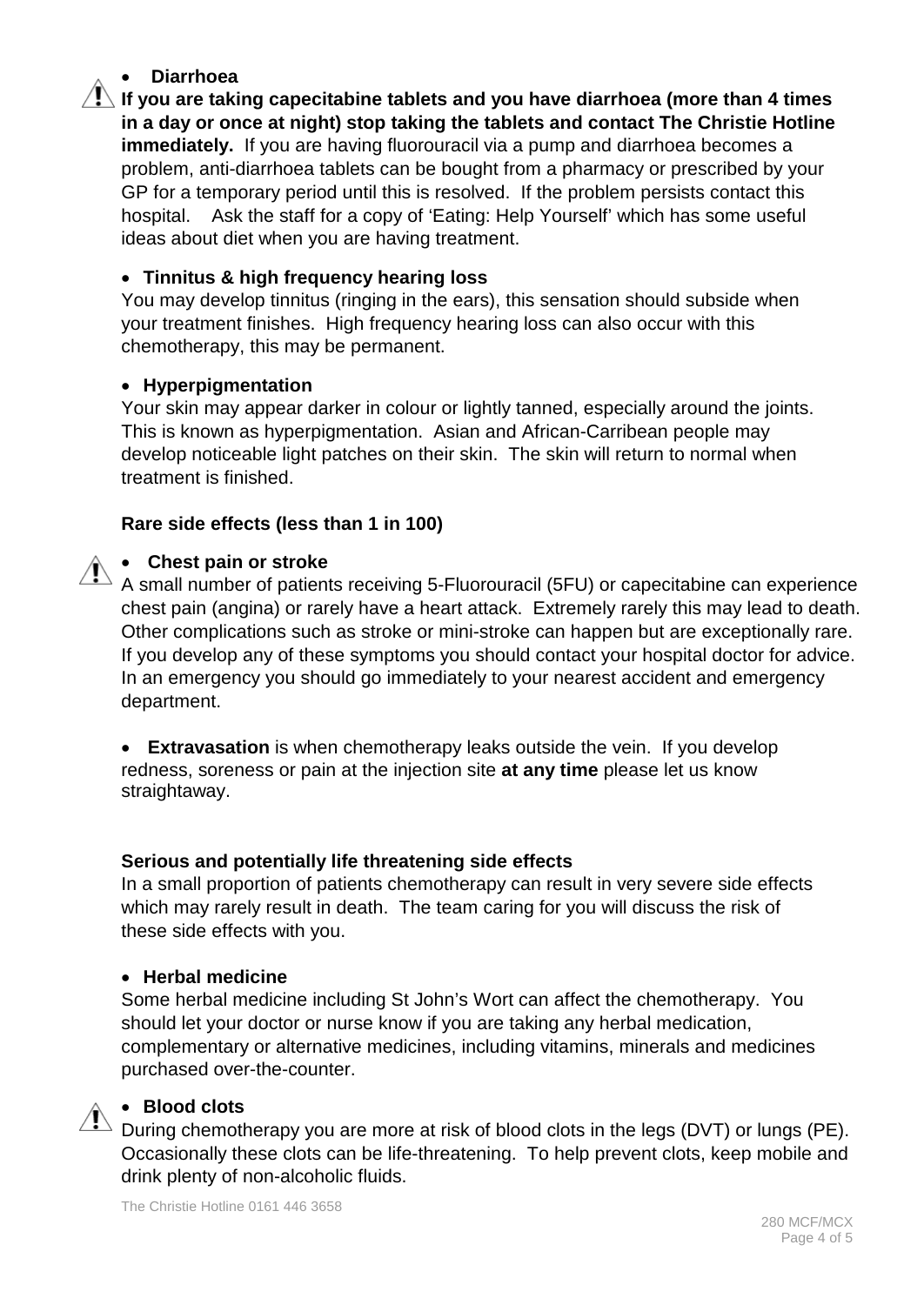#### • **Diarrhoea**

**If you are taking capecitabine tablets and you have diarrhoea (more than 4 times in a day or once at night) stop taking the tablets and contact The Christie Hotline immediately.** If you are having fluorouracil via a pump and diarrhoea becomes a problem, anti-diarrhoea tablets can be bought from a pharmacy or prescribed by your GP for a temporary period until this is resolved. If the problem persists contact this hospital. Ask the staff for a copy of 'Eating: Help Yourself' which has some useful ideas about diet when you are having treatment.

#### • **Tinnitus & high frequency hearing loss**

You may develop tinnitus (ringing in the ears), this sensation should subside when your treatment finishes. High frequency hearing loss can also occur with this chemotherapy, this may be permanent.

#### • **Hyperpigmentation**

Your skin may appear darker in colour or lightly tanned, especially around the joints. This is known as hyperpigmentation. Asian and African-Carribean people may develop noticeable light patches on their skin. The skin will return to normal when treatment is finished.

#### **Rare side effects (less than 1 in 100)**

#### • **Chest pain or stroke**

A small number of patients receiving 5-Fluorouracil (5FU) or capecitabine can experience chest pain (angina) or rarely have a heart attack. Extremely rarely this may lead to death. Other complications such as stroke or mini-stroke can happen but are exceptionally rare. If you develop any of these symptoms you should contact your hospital doctor for advice. In an emergency you should go immediately to your nearest accident and emergency department.

• **Extravasation** is when chemotherapy leaks outside the vein. If you develop redness, soreness or pain at the injection site **at any time** please let us know straightaway.

#### **Serious and potentially life threatening side effects**

In a small proportion of patients chemotherapy can result in very severe side effects which may rarely result in death. The team caring for you will discuss the risk of these side effects with you.

#### • **Herbal medicine**

Some herbal medicine including St John's Wort can affect the chemotherapy. You should let your doctor or nurse know if you are taking any herbal medication, complementary or alternative medicines, including vitamins, minerals and medicines purchased over-the-counter.

#### • **Blood clots**

During chemotherapy you are more at risk of blood clots in the legs (DVT) or lungs (PE). Occasionally these clots can be life-threatening. To help prevent clots, keep mobile and drink plenty of non-alcoholic fluids.

The Christie Hotline 0161 446 3658